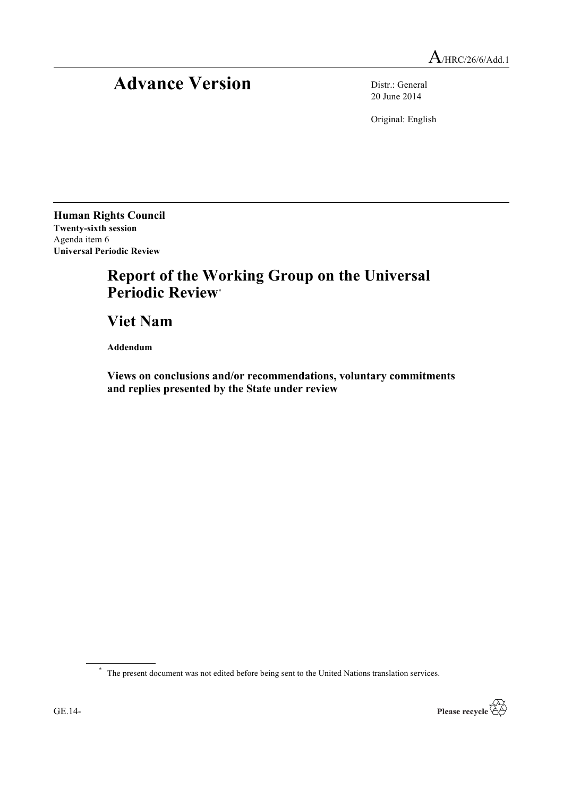## Advance Version Distr.: General

20 June 2014

Original: English

**Human Rights Council Twenty-sixth session** Agenda item 6 **Universal Periodic Review**

## **Report of the Working Group on the Universal Periodic Review**\*

**Viet Nam**

**Addendum**

**Views on conclusions and/or recommendations, voluntary commitments and replies presented by the State under review**

\* The present document was not edited before being sent to the United Nations translation services.

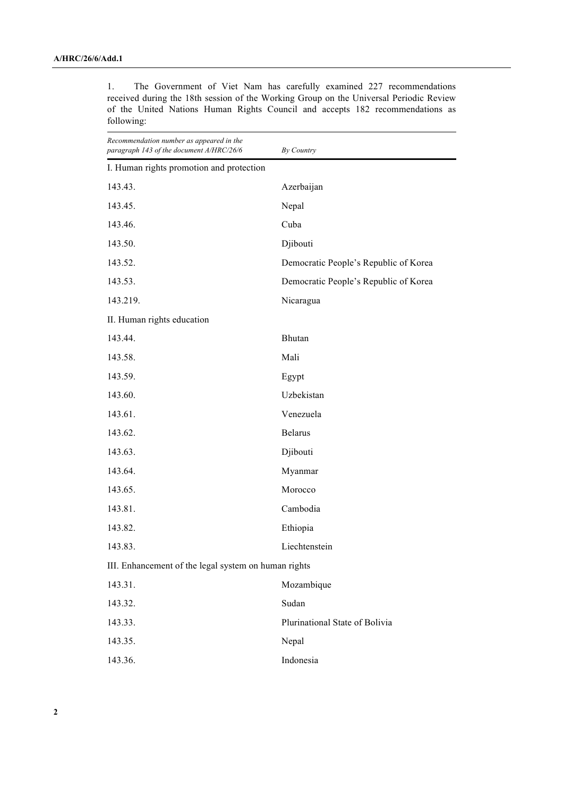| Recommendation number as appeared in the<br>paragraph 143 of the document A/HRC/26/6 | By Country                            |
|--------------------------------------------------------------------------------------|---------------------------------------|
| I. Human rights promotion and protection                                             |                                       |
| 143.43.                                                                              | Azerbaijan                            |
| 143.45.                                                                              | Nepal                                 |
| 143.46.                                                                              | Cuba                                  |
| 143.50.                                                                              | Djibouti                              |
| 143.52.                                                                              | Democratic People's Republic of Korea |
| 143.53.                                                                              | Democratic People's Republic of Korea |
| 143.219.                                                                             | Nicaragua                             |
| II. Human rights education                                                           |                                       |
| 143.44.                                                                              | Bhutan                                |
| 143.58.                                                                              | Mali                                  |
| 143.59.                                                                              | Egypt                                 |
| 143.60.                                                                              | Uzbekistan                            |
| 143.61.                                                                              | Venezuela                             |
| 143.62.                                                                              | <b>Belarus</b>                        |
| 143.63.                                                                              | Djibouti                              |
| 143.64.                                                                              | Myanmar                               |
| 143.65.                                                                              | Morocco                               |
| 143.81.                                                                              | Cambodia                              |
| 143.82.                                                                              | Ethiopia                              |
| 143.83.                                                                              | Liechtenstein                         |
| III. Enhancement of the legal system on human rights                                 |                                       |
| 143.31.                                                                              | Mozambique                            |
| 143.32.                                                                              | Sudan                                 |
| 143.33.                                                                              | Plurinational State of Bolivia        |
| 143.35.                                                                              | Nepal                                 |
| 143.36.                                                                              | Indonesia                             |

1. The Government of Viet Nam has carefully examined 227 recommendations received during the 18th session of the Working Group on the Universal Periodic Review of the United Nations Human Rights Council and accepts 182 recommendations as following: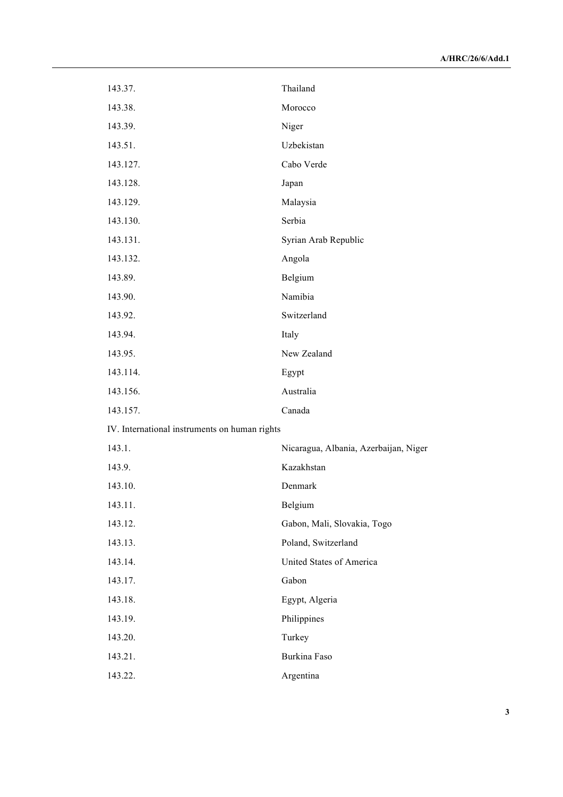| 143.37.                                       | Thailand                              |
|-----------------------------------------------|---------------------------------------|
| 143.38.                                       | Morocco                               |
| 143.39.                                       | Niger                                 |
| 143.51.                                       | Uzbekistan                            |
| 143.127.                                      | Cabo Verde                            |
| 143.128.                                      | Japan                                 |
| 143.129.                                      | Malaysia                              |
| 143.130.                                      | Serbia                                |
| 143.131.                                      | Syrian Arab Republic                  |
| 143.132.                                      | Angola                                |
| 143.89.                                       | Belgium                               |
| 143.90.                                       | Namibia                               |
| 143.92.                                       | Switzerland                           |
| 143.94.                                       | Italy                                 |
| 143.95.                                       | New Zealand                           |
| 143.114.                                      | Egypt                                 |
| 143.156.                                      | Australia                             |
| 143.157.                                      | Canada                                |
| IV. International instruments on human rights |                                       |
| 143.1.                                        | Nicaragua, Albania, Azerbaijan, Niger |
| 143.9.                                        | Kazakhstan                            |
| 143.10.                                       | Denmark                               |
| 143.11.                                       | Belgium                               |
| 143.12.                                       | Gabon, Mali, Slovakia, Togo           |
| 143.13.                                       | Poland, Switzerland                   |
| 143.14.                                       | United States of America              |
| 143.17.                                       | Gabon                                 |
| 143.18.                                       | Egypt, Algeria                        |
| 143.19.                                       | Philippines                           |
| 143.20.                                       | Turkey                                |
| 143.21.                                       | Burkina Faso                          |
| 143.22.                                       | Argentina                             |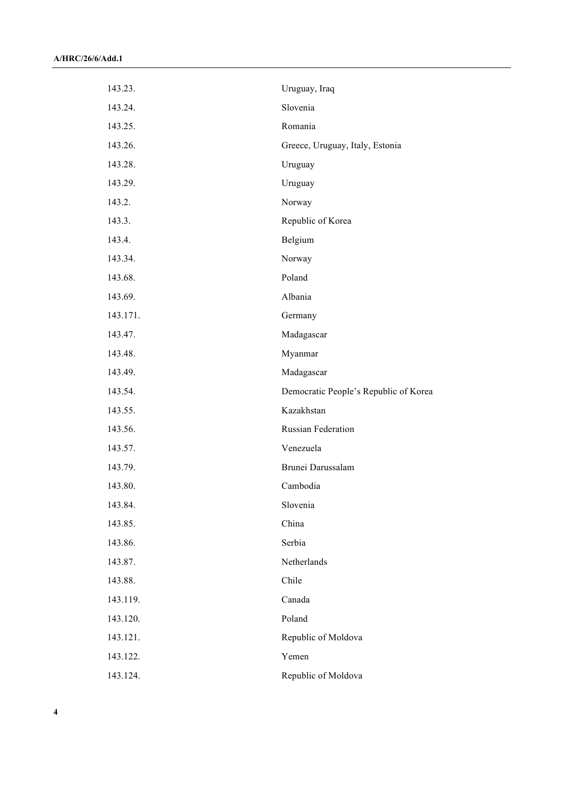| 143.23.  | Uruguay, Iraq                         |
|----------|---------------------------------------|
| 143.24.  | Slovenia                              |
| 143.25.  | Romania                               |
| 143.26.  | Greece, Uruguay, Italy, Estonia       |
| 143.28.  | Uruguay                               |
| 143.29.  | Uruguay                               |
| 143.2.   | Norway                                |
| 143.3.   | Republic of Korea                     |
| 143.4.   | Belgium                               |
| 143.34.  | Norway                                |
| 143.68.  | Poland                                |
| 143.69.  | Albania                               |
| 143.171. | Germany                               |
| 143.47.  | Madagascar                            |
| 143.48.  | Myanmar                               |
| 143.49.  | Madagascar                            |
| 143.54.  | Democratic People's Republic of Korea |
| 143.55.  | Kazakhstan                            |
| 143.56.  | Russian Federation                    |
| 143.57.  | Venezuela                             |
| 143.79.  | Brunei Darussalam                     |
| 143.80.  | Cambodia                              |
| 143.84.  | Slovenia                              |
| 143.85.  | China                                 |
| 143.86.  | Serbia                                |
| 143.87.  | Netherlands                           |
| 143.88.  | Chile                                 |
| 143.119. | Canada                                |
| 143.120. | Poland                                |
| 143.121. | Republic of Moldova                   |
| 143.122. | Yemen                                 |
| 143.124. | Republic of Moldova                   |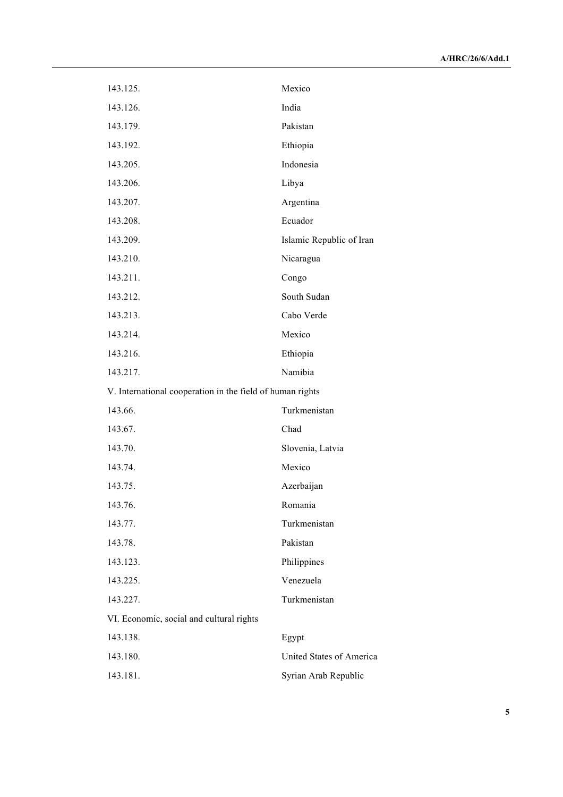| 143.125.                                                  | Mexico                          |
|-----------------------------------------------------------|---------------------------------|
| 143.126.                                                  | India                           |
| 143.179.                                                  | Pakistan                        |
| 143.192.                                                  | Ethiopia                        |
| 143.205.                                                  | Indonesia                       |
| 143.206.                                                  | Libya                           |
| 143.207.                                                  | Argentina                       |
| 143.208.                                                  | Ecuador                         |
| 143.209.                                                  | Islamic Republic of Iran        |
| 143.210.                                                  | Nicaragua                       |
| 143.211.                                                  | Congo                           |
| 143.212.                                                  | South Sudan                     |
| 143.213.                                                  | Cabo Verde                      |
| 143.214.                                                  | Mexico                          |
| 143.216.                                                  | Ethiopia                        |
| 143.217.                                                  | Namibia                         |
| V. International cooperation in the field of human rights |                                 |
| 143.66.                                                   | Turkmenistan                    |
| 143.67.                                                   | Chad                            |
| 143.70.                                                   | Slovenia, Latvia                |
| 143.74.                                                   | Mexico                          |
| 143.75.                                                   | Azerbaijan                      |
| 143.76.                                                   | Romania                         |
| 143.77.                                                   | Turkmenistan                    |
| 143.78.                                                   | Pakistan                        |
| 143.123.                                                  | Philippines                     |
| 143.225.                                                  | Venezuela                       |
| 143.227.                                                  | Turkmenistan                    |
| VI. Economic, social and cultural rights                  |                                 |
| 143.138.                                                  | Egypt                           |
| 143.180.                                                  | <b>United States of America</b> |
| 143.181.                                                  | Syrian Arab Republic            |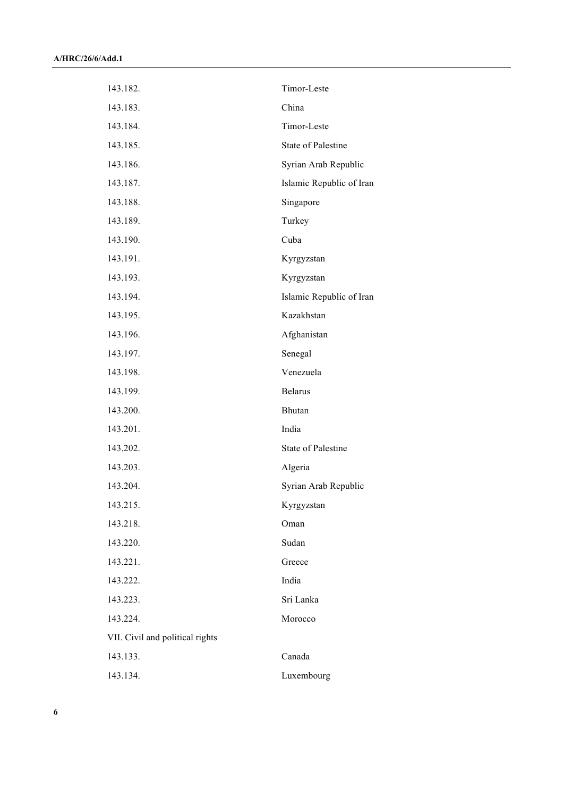| 143.182.                        | Timor-Leste               |
|---------------------------------|---------------------------|
| 143.183.                        | China                     |
| 143.184.                        | Timor-Leste               |
| 143.185.                        | <b>State of Palestine</b> |
| 143.186.                        | Syrian Arab Republic      |
| 143.187.                        | Islamic Republic of Iran  |
| 143.188.                        | Singapore                 |
| 143.189.                        | Turkey                    |
| 143.190.                        | Cuba                      |
| 143.191.                        | Kyrgyzstan                |
| 143.193.                        | Kyrgyzstan                |
| 143.194.                        | Islamic Republic of Iran  |
| 143.195.                        | Kazakhstan                |
| 143.196.                        | Afghanistan               |
| 143.197.                        | Senegal                   |
| 143.198.                        | Venezuela                 |
| 143.199.                        | <b>Belarus</b>            |
| 143.200.                        | Bhutan                    |
| 143.201.                        | India                     |
| 143.202.                        | <b>State of Palestine</b> |
| 143.203.                        | Algeria                   |
| 143.204.                        | Syrian Arab Republic      |
| 143.215.                        | Kyrgyzstan                |
| 143.218.                        | Oman                      |
| 143.220.                        | Sudan                     |
| 143.221.                        | Greece                    |
| 143.222.                        | India                     |
| 143.223.                        | Sri Lanka                 |
| 143.224.                        | Morocco                   |
| VII. Civil and political rights |                           |
| 143.133.                        | Canada                    |
| 143.134.                        | Luxembourg                |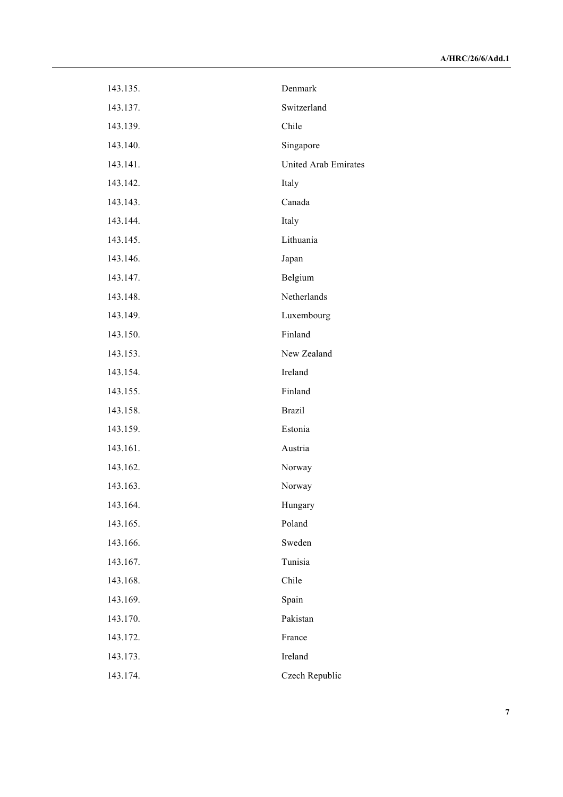| 143.135. | Denmark                     |
|----------|-----------------------------|
| 143.137. | Switzerland                 |
| 143.139. | Chile                       |
| 143.140. | Singapore                   |
| 143.141. | <b>United Arab Emirates</b> |
| 143.142. | Italy                       |
| 143.143. | Canada                      |
| 143.144. | Italy                       |
| 143.145. | Lithuania                   |
| 143.146. | Japan                       |
| 143.147. | Belgium                     |
| 143.148. | Netherlands                 |
| 143.149. | Luxembourg                  |
| 143.150. | Finland                     |
| 143.153. | New Zealand                 |
| 143.154. | Ireland                     |
| 143.155. | Finland                     |
| 143.158. | <b>Brazil</b>               |
| 143.159. | Estonia                     |
| 143.161. | Austria                     |
| 143.162. | Norway                      |
| 143.163. | Norway                      |
| 143.164. | Hungary                     |
| 143.165. | Poland                      |
| 143.166. | Sweden                      |
| 143.167. | Tunisia                     |
| 143.168. | Chile                       |
| 143.169. | Spain                       |
| 143.170. | Pakistan                    |
| 143.172. | France                      |
| 143.173. | Ireland                     |
| 143.174. | Czech Republic              |